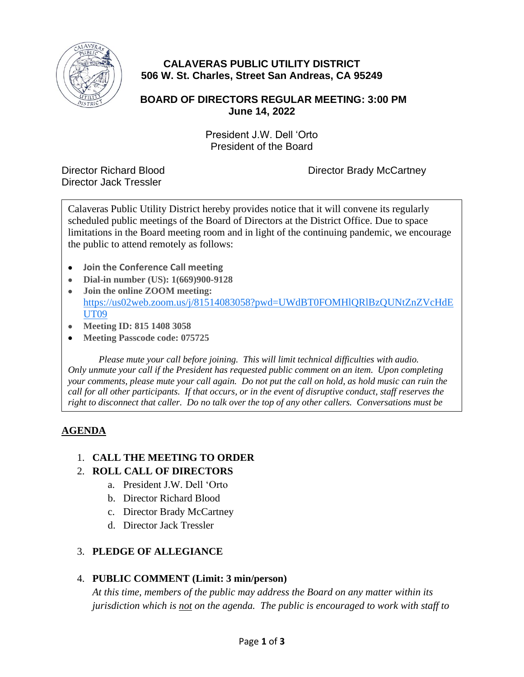

# **CALAVERAS PUBLIC UTILITY DISTRICT 506 W. St. Charles, Street San Andreas, CA 95249**

### **BOARD OF DIRECTORS REGULAR MEETING: 3:00 PM June 14, 2022**

President J.W. Dell 'Orto President of the Board

Director Jack Tressler

Director Richard Blood Director Brady McCartney

Calaveras Public Utility District hereby provides notice that it will convene its regularly scheduled public meetings of the Board of Directors at the District Office. Due to space limitations in the Board meeting room and in light of the continuing pandemic, we encourage the public to attend remotely as follows:

- **Join the Conference Call meeting**
- **Dial-in number (US): 1(669)900-9128**
- **Join the online ZOOM meeting:** [https://us02web.zoom.us/j/81514083058?pwd=UWdBT0FOMHlQRlBzQUNtZnZVcHdE](https://us02web.zoom.us/j/81514083058?pwd=UWdBT0FOMHlQRlBzQUNtZnZVcHdEUT09) [UT09](https://us02web.zoom.us/j/81514083058?pwd=UWdBT0FOMHlQRlBzQUNtZnZVcHdEUT09)
- **Meeting ID: 815 1408 3058**
- **Meeting Passcode code: 075725**

*Please mute your call before joining. This will limit technical difficulties with audio. Only unmute your call if the President has requested public comment on an item. Upon completing your comments, please mute your call again. Do not put the call on hold, as hold music can ruin the call for all other participants. If that occurs, or in the event of disruptive conduct, staff reserves the right to disconnect that caller. Do no talk over the top of any other callers. Conversations must be* 

## **AGENDA**

*one at a time.*

#### 1. **CALL THE MEETING TO ORDER**

#### 2. **ROLL CALL OF DIRECTORS**

- a. President J.W. Dell 'Orto
- b. Director Richard Blood
- c. Director Brady McCartney
- d. Director Jack Tressler

#### 3. **PLEDGE OF ALLEGIANCE**

#### 4. **PUBLIC COMMENT (Limit: 3 min/person)**

*At this time, members of the public may address the Board on any matter within its jurisdiction which is not on the agenda. The public is encouraged to work with staff to*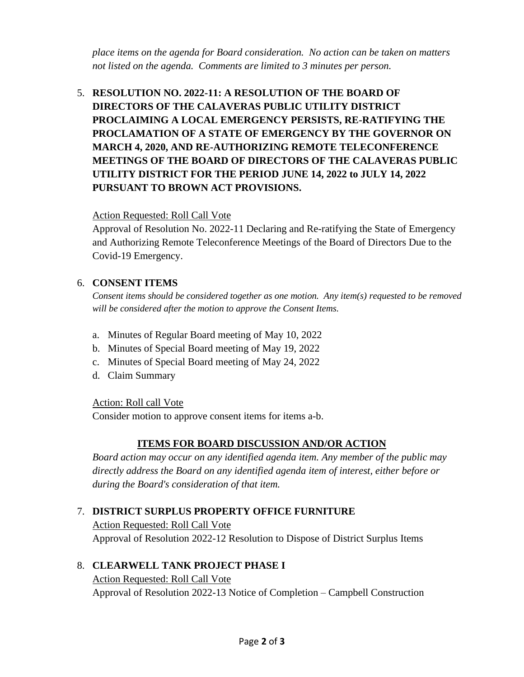*place items on the agenda for Board consideration. No action can be taken on matters not listed on the agenda. Comments are limited to 3 minutes per person.*

5. **RESOLUTION NO. 2022-11: A RESOLUTION OF THE BOARD OF DIRECTORS OF THE CALAVERAS PUBLIC UTILITY DISTRICT PROCLAIMING A LOCAL EMERGENCY PERSISTS, RE-RATIFYING THE PROCLAMATION OF A STATE OF EMERGENCY BY THE GOVERNOR ON MARCH 4, 2020, AND RE-AUTHORIZING REMOTE TELECONFERENCE MEETINGS OF THE BOARD OF DIRECTORS OF THE CALAVERAS PUBLIC UTILITY DISTRICT FOR THE PERIOD JUNE 14, 2022 to JULY 14, 2022 PURSUANT TO BROWN ACT PROVISIONS.** 

#### Action Requested: Roll Call Vote

Approval of Resolution No. 2022-11 Declaring and Re-ratifying the State of Emergency and Authorizing Remote Teleconference Meetings of the Board of Directors Due to the Covid-19 Emergency.

#### 6. **CONSENT ITEMS**

*Consent items should be considered together as one motion. Any item(s) requested to be removed will be considered after the motion to approve the Consent Items.*

- a. Minutes of Regular Board meeting of May 10, 2022
- b. Minutes of Special Board meeting of May 19, 2022
- c. Minutes of Special Board meeting of May 24, 2022
- d. Claim Summary

#### Action: Roll call Vote

Consider motion to approve consent items for items a-b.

#### **ITEMS FOR BOARD DISCUSSION AND/OR ACTION**

*Board action may occur on any identified agenda item. Any member of the public may directly address the Board on any identified agenda item of interest, either before or during the Board's consideration of that item.*

#### 7. **DISTRICT SURPLUS PROPERTY OFFICE FURNITURE**

Action Requested: Roll Call Vote Approval of Resolution 2022-12 Resolution to Dispose of District Surplus Items

#### 8. **CLEARWELL TANK PROJECT PHASE I**

Action Requested: Roll Call Vote Approval of Resolution 2022-13 Notice of Completion – Campbell Construction